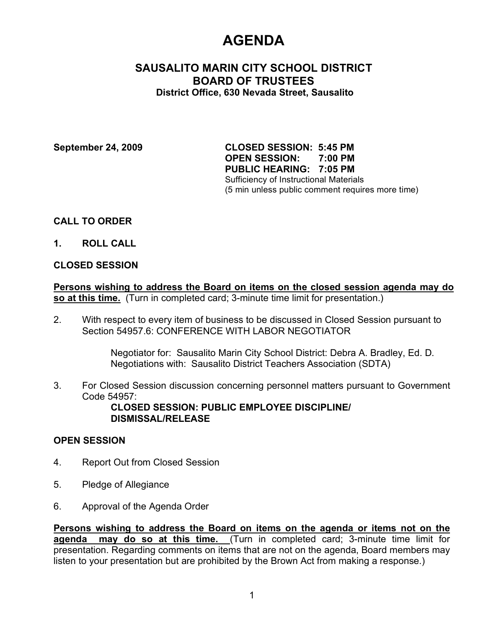# **AGENDA**

# **SAUSALITO MARIN CITY SCHOOL DISTRICT BOARD OF TRUSTEES District Office, 630 Nevada Street, Sausalito**

**September 24, 2009 CLOSED SESSION: 5:45 PM OPEN SESSION: 7:00 PM PUBLIC HEARING: 7:05 PM** Sufficiency of Instructional Materials (5 min unless public comment requires more time)

## **CALL TO ORDER**

**1. ROLL CALL**

### **CLOSED SESSION**

**Persons wishing to address the Board on items on the closed session agenda may do so at this time.** (Turn in completed card; 3-minute time limit for presentation.)

2. With respect to every item of business to be discussed in Closed Session pursuant to Section 54957.6: CONFERENCE WITH LABOR NEGOTIATOR

> Negotiator for: Sausalito Marin City School District: Debra A. Bradley, Ed. D. Negotiations with: Sausalito District Teachers Association (SDTA)

3. For Closed Session discussion concerning personnel matters pursuant to Government Code 54957:

**CLOSED SESSION: PUBLIC EMPLOYEE DISCIPLINE/ DISMISSAL/RELEASE**

### **OPEN SESSION**

- 4. Report Out from Closed Session
- 5. Pledge of Allegiance
- 6. Approval of the Agenda Order

**Persons wishing to address the Board on items on the agenda or items not on the agenda may do so at this time.** (Turn in completed card; 3-minute time limit for presentation. Regarding comments on items that are not on the agenda, Board members may listen to your presentation but are prohibited by the Brown Act from making a response.)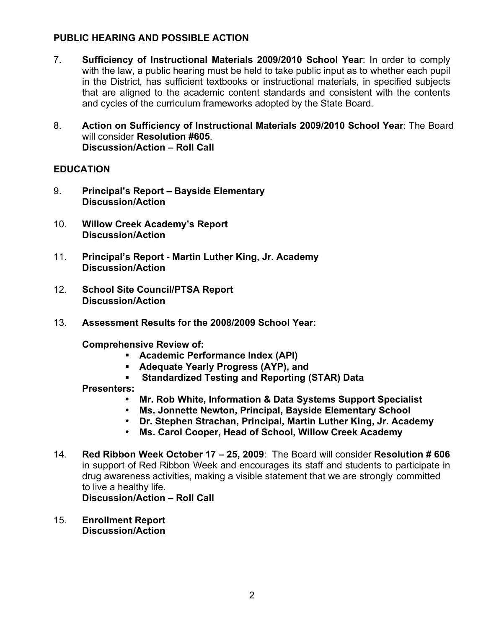# **PUBLIC HEARING AND POSSIBLE ACTION**

- 7. **Sufficiency of Instructional Materials 2009/2010 School Year**: In order to comply with the law, a public hearing must be held to take public input as to whether each pupil in the District, has sufficient textbooks or instructional materials, in specified subjects that are aligned to the academic content standards and consistent with the contents and cycles of the curriculum frameworks adopted by the State Board.
- 8. **Action on Sufficiency of Instructional Materials 2009/2010 School Year**: The Board will consider **Resolution #605**. **Discussion/Action – Roll Call**

## **EDUCATION**

- 9. **Principal's Report Bayside Elementary Discussion/Action**
- 10. **Willow Creek Academy's Report Discussion/Action**
- 11. **Principal's Report - Martin Luther King, Jr. Academy Discussion/Action**
- 12. **School Site Council/PTSA Report Discussion/Action**
- 13. **Assessment Results for the 2008/2009 School Year:**

**Comprehensive Review of:**

- **Academic Performance Index (API)**
- **Adequate Yearly Progress (AYP), and**
- **Standardized Testing and Reporting (STAR) Data**

**Presenters:**

- **Mr. Rob White, Information & Data Systems Support Specialist**
- **Ms. Jonnette Newton, Principal, Bayside Elementary School**
- **Dr. Stephen Strachan, Principal, Martin Luther King, Jr. Academy**
- **Ms. Carol Cooper, Head of School, Willow Creek Academy**
- 14. **Red Ribbon Week October 17 25, 2009**: The Board will consider **Resolution # 606** in support of Red Ribbon Week and encourages its staff and students to participate in drug awareness activities, making a visible statement that we are strongly committed to live a healthy life.

**Discussion/Action – Roll Call**

15. **Enrollment Report Discussion/Action**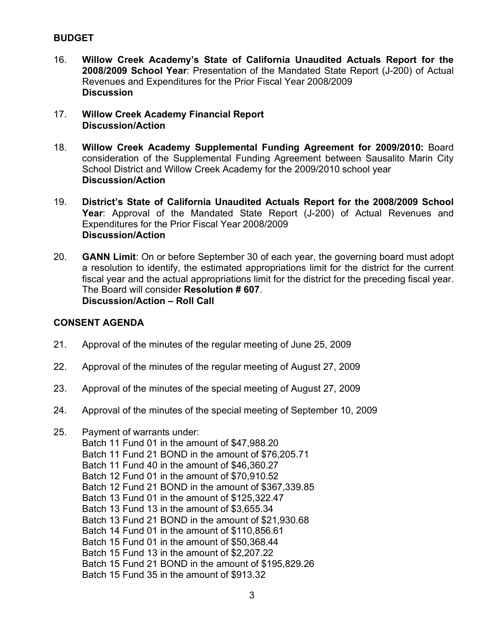# **BUDGET**

- 16. **Willow Creek Academy's State of California Unaudited Actuals Report for the 2008/2009 School Year**: Presentation of the Mandated State Report (J-200) of Actual Revenues and Expenditures for the Prior Fiscal Year 2008/2009 **Discussion**
- 17. **Willow Creek Academy Financial Report Discussion/Action**
- 18. **Willow Creek Academy Supplemental Funding Agreement for 2009/2010:** Board consideration of the Supplemental Funding Agreement between Sausalito Marin City School District and Willow Creek Academy for the 2009/2010 school year **Discussion/Action**
- 19. **District's State of California Unaudited Actuals Report for the 2008/2009 School Year**: Approval of the Mandated State Report (J-200) of Actual Revenues and Expenditures for the Prior Fiscal Year 2008/2009 **Discussion/Action**
- 20. **GANN Limit**: On or before September 30 of each year, the governing board must adopt a resolution to identify, the estimated appropriations limit for the district for the current fiscal year and the actual appropriations limit for the district for the preceding fiscal year. The Board will consider **Resolution # 607**. **Discussion/Action – Roll Call**

# **CONSENT AGENDA**

- 21. Approval of the minutes of the regular meeting of June 25, 2009
- 22. Approval of the minutes of the regular meeting of August 27, 2009
- 23. Approval of the minutes of the special meeting of August 27, 2009
- 24. Approval of the minutes of the special meeting of September 10, 2009
- 25. Payment of warrants under:
	- Batch 11 Fund 01 in the amount of \$47,988.20 Batch 11 Fund 21 BOND in the amount of \$76,205.71 Batch 11 Fund 40 in the amount of \$46,360.27 Batch 12 Fund 01 in the amount of \$70,910.52 Batch 12 Fund 21 BOND in the amount of \$367,339.85 Batch 13 Fund 01 in the amount of \$125,322.47 Batch 13 Fund 13 in the amount of \$3,655.34 Batch 13 Fund 21 BOND in the amount of \$21,930.68 Batch 14 Fund 01 in the amount of \$110,856.61 Batch 15 Fund 01 in the amount of \$50,368.44 Batch 15 Fund 13 in the amount of \$2,207.22 Batch 15 Fund 21 BOND in the amount of \$195,829.26 Batch 15 Fund 35 in the amount of \$913.32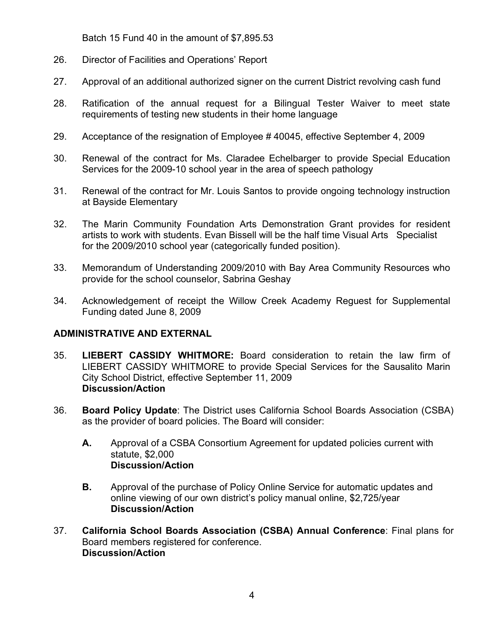Batch 15 Fund 40 in the amount of \$7,895.53

- 26. Director of Facilities and Operations' Report
- 27. Approval of an additional authorized signer on the current District revolving cash fund
- 28. Ratification of the annual request for a Bilingual Tester Waiver to meet state requirements of testing new students in their home language
- 29. Acceptance of the resignation of Employee # 40045, effective September 4, 2009
- 30. Renewal of the contract for Ms. Claradee Echelbarger to provide Special Education Services for the 2009-10 school year in the area of speech pathology
- 31. Renewal of the contract for Mr. Louis Santos to provide ongoing technology instruction at Bayside Elementary
- 32. The Marin Community Foundation Arts Demonstration Grant provides for resident artists to work with students. Evan Bissell will be the half time Visual Arts Specialist for the 2009/2010 school year (categorically funded position).
- 33. Memorandum of Understanding 2009/2010 with Bay Area Community Resources who provide for the school counselor, Sabrina Geshay
- 34. Acknowledgement of receipt the Willow Creek Academy Reguest for Supplemental Funding dated June 8, 2009

# **ADMINISTRATIVE AND EXTERNAL**

- 35. **LIEBERT CASSIDY WHITMORE:** Board consideration to retain the law firm of LIEBERT CASSIDY WHITMORE to provide Special Services for the Sausalito Marin City School District, effective September 11, 2009 **Discussion/Action**
- 36. **Board Policy Update**: The District uses California School Boards Association (CSBA) as the provider of board policies. The Board will consider:
	- **A.** Approval of a CSBA Consortium Agreement for updated policies current with statute, \$2,000 **Discussion/Action**
	- **B.** Approval of the purchase of Policy Online Service for automatic updates and online viewing of our own district's policy manual online, \$2,725/year **Discussion/Action**
- 37. **California School Boards Association (CSBA) Annual Conference**: Final plans for Board members registered for conference. **Discussion/Action**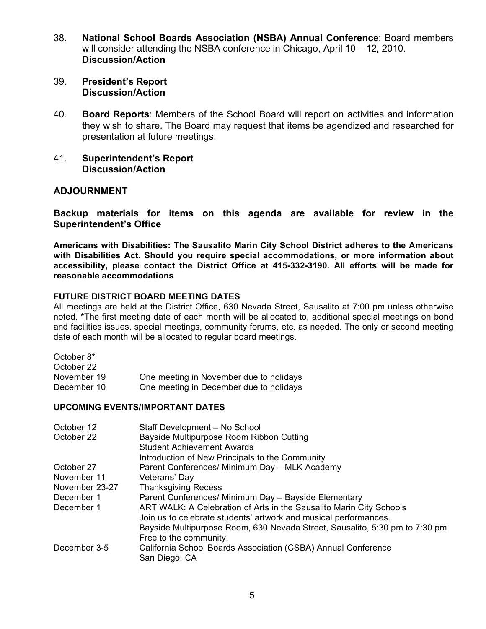- 38. **National School Boards Association (NSBA) Annual Conference**: Board members will consider attending the NSBA conference in Chicago, April 10 – 12, 2010. **Discussion/Action**
- 39. **President's Report Discussion/Action**
- 40. **Board Reports**: Members of the School Board will report on activities and information they wish to share. The Board may request that items be agendized and researched for presentation at future meetings.
- 41. **Superintendent's Report Discussion/Action**

### **ADJOURNMENT**

**Backup materials for items on this agenda are available for review in the Superintendent's Office**

**Americans with Disabilities: The Sausalito Marin City School District adheres to the Americans with Disabilities Act. Should you require special accommodations, or more information about accessibility, please contact the District Office at 415-332-3190. All efforts will be made for reasonable accommodations**

#### **FUTURE DISTRICT BOARD MEETING DATES**

All meetings are held at the District Office, 630 Nevada Street, Sausalito at 7:00 pm unless otherwise noted. **\***The first meeting date of each month will be allocated to, additional special meetings on bond and facilities issues, special meetings, community forums, etc. as needed. The only or second meeting date of each month will be allocated to regular board meetings.

| October 8*  |                                         |
|-------------|-----------------------------------------|
| October 22  |                                         |
| November 19 | One meeting in November due to holidays |
| December 10 | One meeting in December due to holidays |

#### **UPCOMING EVENTS/IMPORTANT DATES**

| October 12<br>October 22 | Staff Development - No School<br>Bayside Multipurpose Room Ribbon Cutting      |
|--------------------------|--------------------------------------------------------------------------------|
|                          | <b>Student Achievement Awards</b>                                              |
|                          | Introduction of New Principals to the Community                                |
| October 27               | Parent Conferences/ Minimum Day - MLK Academy                                  |
| November 11              | Veterans' Day                                                                  |
| November 23-27           | <b>Thanksgiving Recess</b>                                                     |
| December 1               | Parent Conferences/ Minimum Day - Bayside Elementary                           |
| December 1               | ART WALK: A Celebration of Arts in the Sausalito Marin City Schools            |
|                          | Join us to celebrate students' artwork and musical performances.               |
|                          | Bayside Multipurpose Room, 630 Nevada Street, Sausalito, 5:30 pm to 7:30 pm    |
|                          | Free to the community.                                                         |
| December 3-5             | California School Boards Association (CSBA) Annual Conference<br>San Diego, CA |